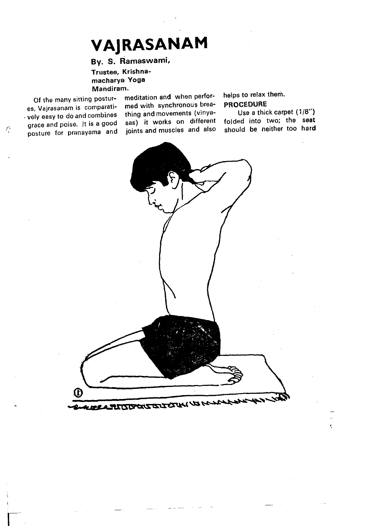## VAJRASANAM

## By. S. Ramaswami,

Trustee, KrishnamacharYa Yoga

es, Vajrasanam is comparati- med with synchronous brea- . vely easy to do and combines thing and movements (vinya-<br>crace and poise. It is a good sas) it works on different grace and poise. It is a good sas) it works on different<br>posture for pranavama and ioints and muscles and also posture for pranayama and

 $\hat{\mathcal{O}}$ 

 $\overline{\mathsf{I}}$ 

Mandiram.<br>I postur- meditation and when perfor-Of the many sitting postur- meditation and when perfor-<br>Mairasanam is comparati- med with synchronous brea-

helps to relax them. PROCEDURE

Use a thick carpet (1/8") folded into two; the soat should be neither too hard

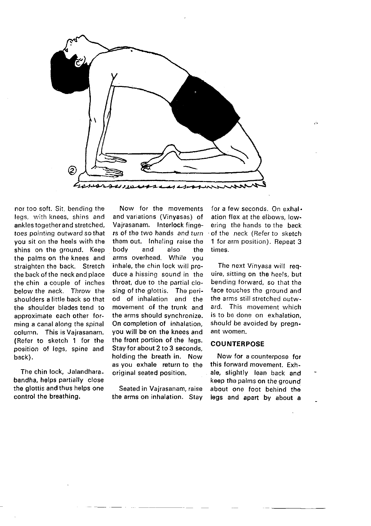

nor too soft. Sit, bending the legs, with knees, shins and ankles together and stretched, toes pointing outward so that you sit on the heels with the shins on the ground. Keep the palms on the knees and straighten the back. Stretch the back of the neck and place the chin a couple of inches below the neck. Throw the shoulders a little back so that the shoulder blades tend to approximate each other forming a canal along the spinal colunrn. This is Vajrasanam. (Refer to sketch 1 for the position of legs, spine and back).

The chin lock, Jalandharabandha, helps partially close the glottis and thus helps one control the breathing.

Now for the movements and variations (Vinyasas) of Vajrasanam. Interlock fingers of the two hands and turn them out. Inhaling raise the<br>body and also the body and also the arms overhead. While you inhale, the chin lock will produce a hissing sound in the throat, due to the partial clo. sing of the glottis. The period of inhalation and the movement of the trunk and the arms should synchronize. On completion of inhalation, you will be on the knees and the front portion of the legs. Stay for about 2 to 3 seconds, holding the breath in. Now as you exhale return to the original seated position,

Seated in Vajrasanam, raise the arms on inhalation. Stav

for a few seconds. On exhal. ation flex at the elbows, lowering the hands to the back of the neck (Befer to sketch 1 for arm position). Bepeat 3 times.

The next Vinyasa will require, sitting on the heels, but bending forward, so that the face touches the ground and the arms still stretched outward. This movement which is to be done on exhalation, should be avoided by pregnant women.

## COUNTERPOSE

Now for a counterpose for this forward movement. Exhale, slightly lean back and keep the palms on the ground about one foot behind tho legs and apart by about a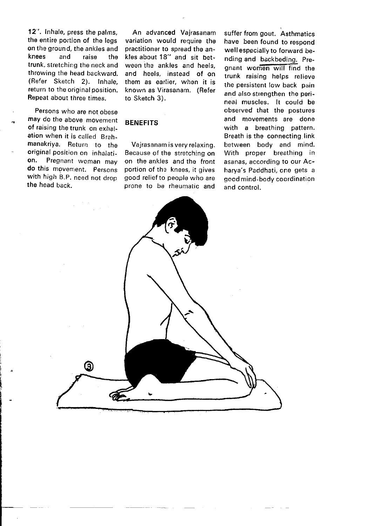12'. lnhale, press the palms, the entire portion of the legs on the ground, the ankles and<br>knees and raise the knees and raise the trunk, stretching the neck and throwing the head backward. (Refer Sketch 2). Inhale, return to the original position, Repeat about three times.

Persons who are not obese may do the above movement of raising the trunk on exhalation when it is called Brahmanakriya. Return to the original position on inhalati-<br>on. Pregnant woman may Pregnant woman may do this movement. Persons with high B.P. need not drop the head back.

An advanced Vajrasanam variation would require the practitioner to spread the ankles about 18" and sit between the ankles and heels, and heels, instead of on them as earlier, whon it is known as Virasanam. (Refer to sketch 3).

## **BENEFITS**

Vajrasanam is very reiaxing. Because of the stretching on on the ankles and the front portion of the knees, it gives good relief to people who are prone to be rheumatic and

suffer from gout. Asthmatics have been found to respond wellespecially to forward bending and backbeding. Pre gnant women will find the trunk raising helps relieve the persistent low back pain and also strengthen the perineal muscles. lt could be observed that the postures and movements are done with a breathing pattern. Breath is the connecting link between body and mind. With proper breathing in asanas, according to our Acharya's Paddhati. one gets a good mind-body coordination and control.